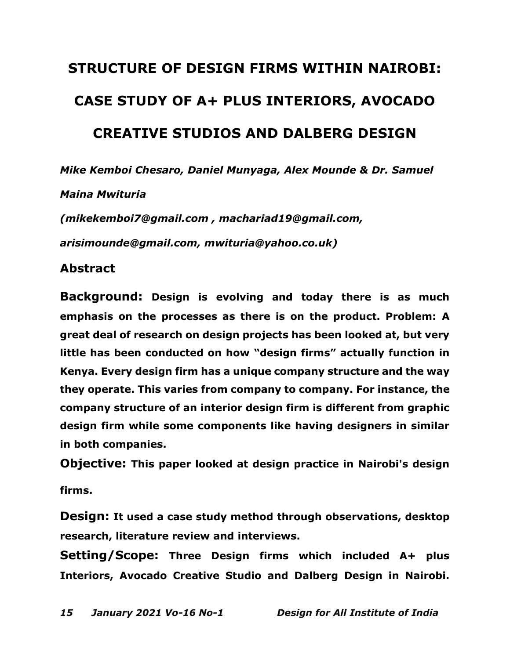## **STRUCTURE OF DESIGN FIRMS WITHIN NAIROBI: CASE STUDY OF A+ PLUS INTERIORS, AVOCADO CREATIVE STUDIOS AND DALBERG DESIGN**

*Mike Kemboi Chesaro, Daniel Munyaga, Alex Mounde & Dr. Samuel Maina Mwituria (mikekemboi7@gmail.com , machariad19@gmail.com,* 

*arisimounde@gmail.com, mwituria@yahoo.co.uk)*

## **Abstract**

**Background: Design is evolving and today there is as much emphasis on the processes as there is on the product. Problem: A great deal of research on design projects has been looked at, but very little has been conducted on how "design firms" actually function in Kenya. Every design firm has a unique company structure and the way they operate. This varies from company to company. For instance, the company structure of an interior design firm is different from graphic design firm while some components like having designers in similar in both companies.** 

**Objective: This paper looked at design practice in Nairobi's design firms.**

**Design: It used a case study method through observations, desktop research, literature review and interviews.**

**Setting/Scope: Three Design firms which included A+ plus Interiors, Avocado Creative Studio and Dalberg Design in Nairobi.**